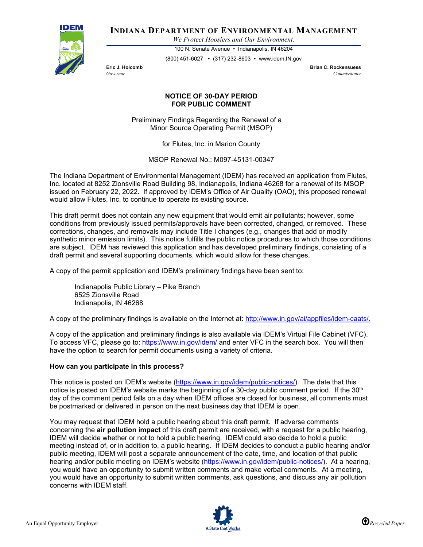

**INDIANA DEPARTMENT OF ENVIRONMENTAL MANAGEMENT**

*We Protect Hoosiers and Our Environment.*

100 N. Senate Avenue • Indianapolis, IN 46204 (800) 451-6027 • (317) 232-8603 • www.idem.IN.gov

**Eric J. Holcomb Brian C. Rockensuess** *Governor Commissioner* 

## **NOTICE OF 30-DAY PERIOD FOR PUBLIC COMMENT**

Preliminary Findings Regarding the Renewal of a Minor Source Operating Permit (MSOP)

for Flutes, Inc. in Marion County

MSOP Renewal No.: M097-45131-00347

The Indiana Department of Environmental Management (IDEM) has received an application from Flutes, Inc. located at 8252 Zionsville Road Building 98, Indianapolis, Indiana 46268 for a renewal of its MSOP issued on February 22, 2022. If approved by IDEM's Office of Air Quality (OAQ), this proposed renewal would allow Flutes, Inc. to continue to operate its existing source.

This draft permit does not contain any new equipment that would emit air pollutants; however, some conditions from previously issued permits/approvals have been corrected, changed, or removed. These corrections, changes, and removals may include Title I changes (e.g., changes that add or modify synthetic minor emission limits). This notice fulfills the public notice procedures to which those conditions are subject. IDEM has reviewed this application and has developed preliminary findings, consisting of a draft permit and several supporting documents, which would allow for these changes.

A copy of the permit application and IDEM's preliminary findings have been sent to:

Indianapolis Public Library – Pike Branch 6525 Zionsville Road Indianapolis, IN 46268

A copy of the preliminary findings is available on the Internet at: [http://www.in.gov/ai/appfiles/idem-caats/.](http://www.in.gov/ai/appfiles/idem-caats/)

A copy of the application and preliminary findings is also available via IDEM's Virtual File Cabinet (VFC). To access VFC, please go to:<https://www.in.gov/idem/> and enter VFC in the search box. You will then have the option to search for permit documents using a variety of criteria.

## **How can you participate in this process?**

This notice is posted on IDEM's website [\(https://www.in.gov/idem/public-notices/\)](https://www.in.gov/idem/public-notices/). The date that this notice is posted on IDEM's website marks the beginning of a 30-day public comment period. If the  $30<sup>th</sup>$ day of the comment period falls on a day when IDEM offices are closed for business, all comments must be postmarked or delivered in person on the next business day that IDEM is open.

You may request that IDEM hold a public hearing about this draft permit. If adverse comments concerning the **air pollution impact** of this draft permit are received, with a request for a public hearing, IDEM will decide whether or not to hold a public hearing. IDEM could also decide to hold a public meeting instead of, or in addition to, a public hearing. If IDEM decides to conduct a public hearing and/or public meeting, IDEM will post a separate announcement of the date, time, and location of that public hearing and/or public meeting on IDEM's website [\(https://www.in.gov/idem/public-notices/\)](https://www.in.gov/idem/public-notices/). At a hearing, you would have an opportunity to submit written comments and make verbal comments. At a meeting, you would have an opportunity to submit written comments, ask questions, and discuss any air pollution concerns with IDEM staff.